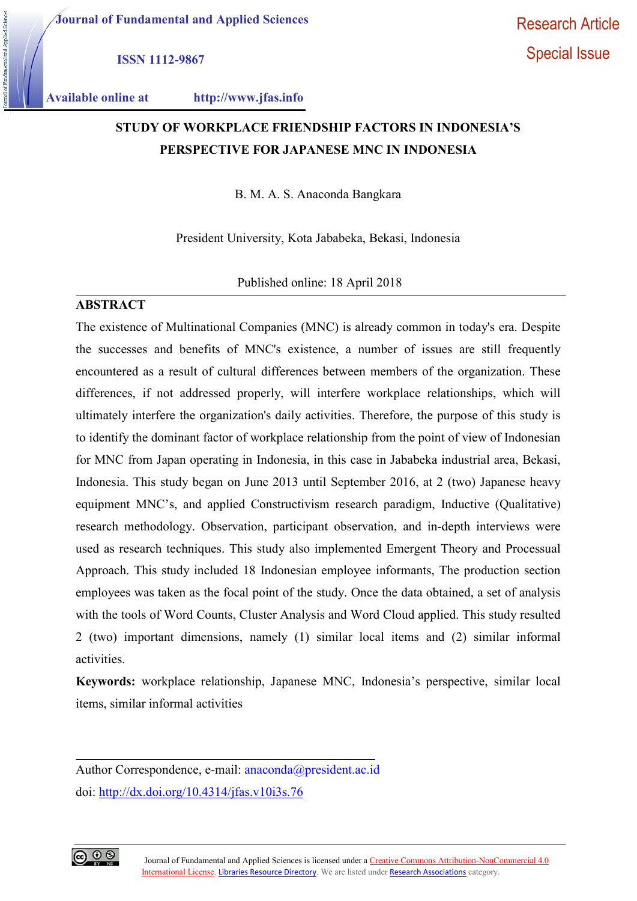ISSN 1112-9867

Applied Sci

Available online at http://www.jfas.info

# STUDY OF WORKPLACE FRIENDSHIP FACTORS IN INDONESIA'S PERSPECTIVE FOR JAPANESE MNC IN INDONESIA

B. M. A. S. Anaconda Bangkara

President University, Kota Jababeka, Bekasi, Indonesia

Published online: 18 April 2018

# ABSTRACT

The existence of Multinational Companies (MNC) is already common in today's era. Despite the successes and benefits of MNC's existence, a number of issues are still frequently encountered as a result of cultural differences between members of the organization. These differences, if not addressed properly, will interfere workplace relationships, which will ultimately interfere the organization's daily activities. Therefore, the purpose of this study is to identify the dominant factor of workplace relationship from the point of view of Indonesian for MNC from Japan operating in Indonesia, in this case in Jababeka industrial area, Bekasi, Indonesia. This study began on June 2013 until September 2016, at 2 (two) Japanese heavy equipment MNC's, and applied Constructivism research paradigm, Inductive (Qualitative) research methodology. Observation, participant observation, and in-depth interviews were used as research techniques. This study also implemented Emergent Theory and Processual Approach. This study included 18 Indonesian employee informants, The production section employees was taken as the focal point of the study. Once the data obtained, a set of analysis with the tools of Word Counts, Cluster Analysis and Word Cloud applied. This study resulted 2 (two) important dimensions, namely (1) similar local items and (2) similar informal activities.

Keywords: workplace relationship, Japanese MNC, Indonesia's perspective, similar local items, similar informal activities



Author Correspondence, e-mail: anaconda@president.ac.id doi: http://dx.doi.org/10.4314/jfas.v10i3s.76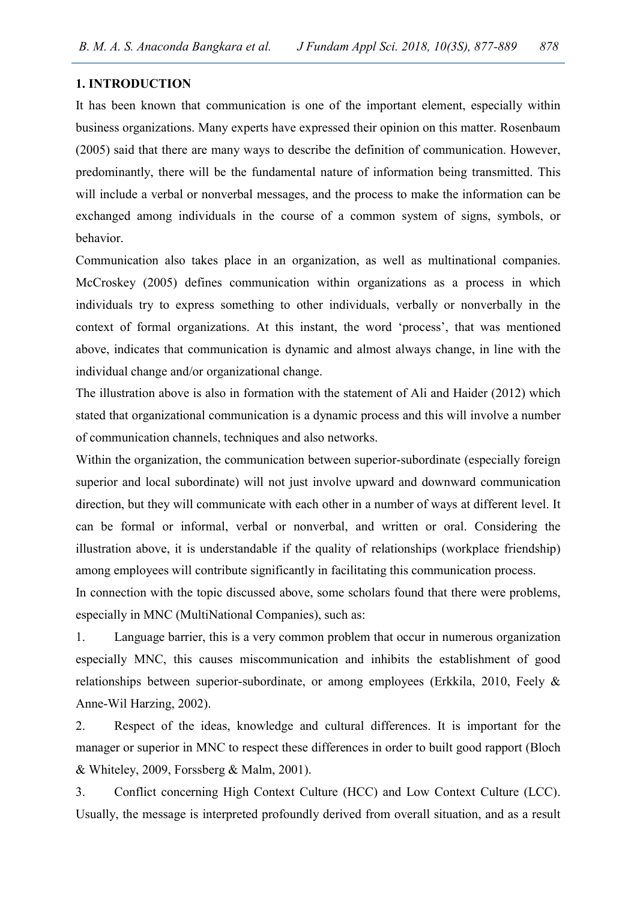# 1. INTRODUCTION

It has been known that communication is one of the important element, especially within business organizations. Many experts have expressed their opinion on this matter. Rosenbaum (2005) said that there are many ways to describe the definition of communication. However, predominantly, there will be the fundamental nature of information being transmitted. This will include a verbal or nonverbal messages, and the process to make the information can be exchanged among individuals in the course of a common system of signs, symbols, or behavior.

Communication also takes place in an organization, as well as multinational companies. McCroskey (2005) defines communication within organizations as a process in which individuals try to express something to other individuals, verbally or nonverbally in the context of formal organizations. At this instant, the word 'process', that was mentioned above, indicates that communication is dynamic and almost always change, in line with the individual change and/or organizational change.

The illustration above is also in formation with the statement of Ali and Haider (2012) which stated that organizational communication is a dynamic process and this will involve a number of communication channels, techniques and also networks.

Within the organization, the communication between superior-subordinate (especially foreign superior and local subordinate) will not just involve upward and downward communication direction, but they will communicate with each other in a number of ways at different level. It can be formal or informal, verbal or nonverbal, and written or oral. Considering the illustration above, it is understandable if the quality of relationships (workplace friendship) among employees will contribute significantly in facilitating this communication process.

In connection with the topic discussed above, some scholars found that there were problems, especially in MNC (MultiNational Companies), such as:

1. Language barrier, this is a very common problem that occur in numerous organization especially MNC, this causes miscommunication and inhibits the establishment of good relationships between superior-subordinate, or among employees (Erkkila, 2010, Feely & Anne-Wil Harzing, 2002).

2. Respect of the ideas, knowledge and cultural differences. It is important for the manager or superior in MNC to respect these differences in order to built good rapport (Bloch & Whiteley, 2009, Forssberg & Malm, 2001).

3. Conflict concerning High Context Culture (HCC) and Low Context Culture (LCC). Usually, the message is interpreted profoundly derived from overall situation, and as a result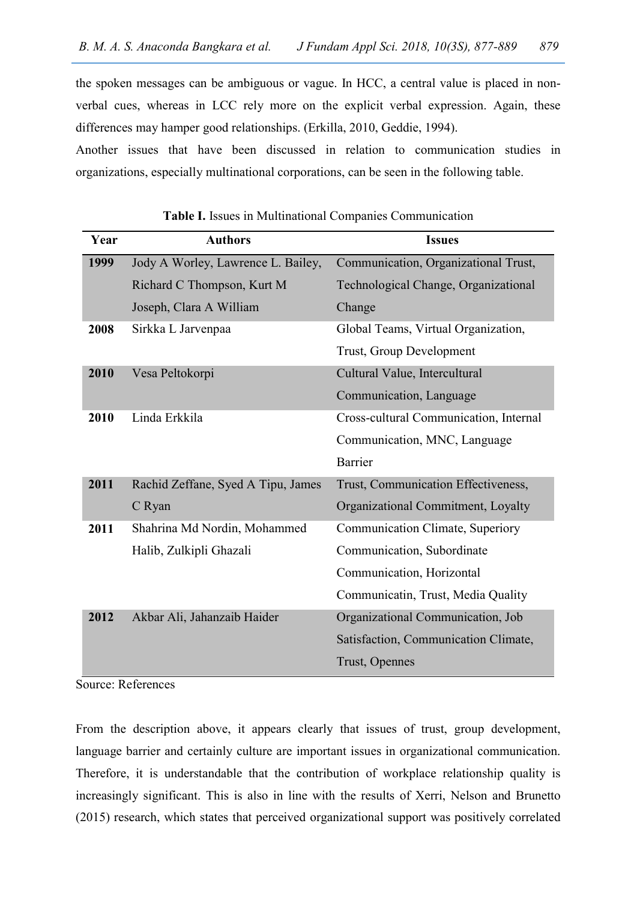the spoken messages can be ambiguous or vague. In HCC, a central value is placed in nonverbal cues, whereas in LCC rely more on the explicit verbal expression. Again, these differences may hamper good relationships. (Erkilla, 2010, Geddie, 1994).

Another issues that have been discussed in relation to communication studies in organizations, especially multinational corporations, can be seen in the following table.

| Year | <b>Authors</b>                     | <b>Issues</b>                          |  |
|------|------------------------------------|----------------------------------------|--|
| 1999 | Jody A Worley, Lawrence L. Bailey, | Communication, Organizational Trust,   |  |
|      | Richard C Thompson, Kurt M         | Technological Change, Organizational   |  |
|      | Joseph, Clara A William            | Change                                 |  |
| 2008 | Sirkka L Jarvenpaa                 | Global Teams, Virtual Organization,    |  |
|      |                                    | Trust, Group Development               |  |
| 2010 | Vesa Peltokorpi                    | Cultural Value, Intercultural          |  |
|      |                                    | Communication, Language                |  |
| 2010 | Linda Erkkila                      | Cross-cultural Communication, Internal |  |
|      |                                    | Communication, MNC, Language           |  |
|      |                                    | <b>Barrier</b>                         |  |
| 2011 | Rachid Zeffane, Syed A Tipu, James | Trust, Communication Effectiveness,    |  |
|      | C Ryan                             | Organizational Commitment, Loyalty     |  |
| 2011 | Shahrina Md Nordin, Mohammed       | Communication Climate, Superiory       |  |
|      | Halib, Zulkipli Ghazali            | Communication, Subordinate             |  |
|      |                                    | Communication, Horizontal              |  |
|      |                                    | Communicatin, Trust, Media Quality     |  |
| 2012 | Akbar Ali, Jahanzaib Haider        | Organizational Communication, Job      |  |
|      |                                    | Satisfaction, Communication Climate,   |  |
|      |                                    | Trust, Opennes                         |  |

Table I. Issues in Multinational Companies Communication

Source: References

From the description above, it appears clearly that issues of trust, group development, language barrier and certainly culture are important issues in organizational communication. Therefore, it is understandable that the contribution of workplace relationship quality is increasingly significant. This is also in line with the results of Xerri, Nelson and Brunetto (2015) research, which states that perceived organizational support was positively correlated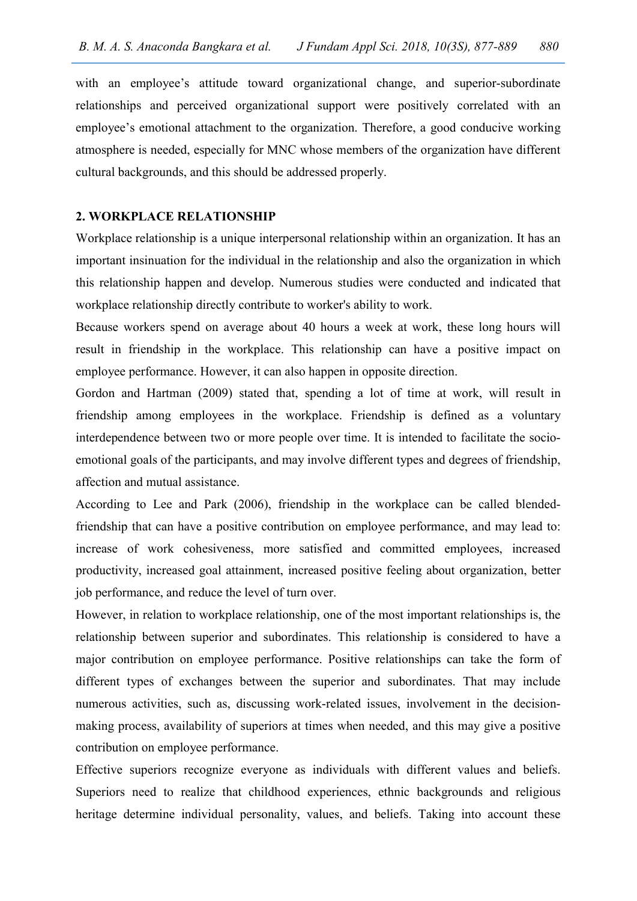with an employee's attitude toward organizational change, and superior-subordinate relationships and perceived organizational support were positively correlated with an employee's emotional attachment to the organization. Therefore, a good conducive working atmosphere is needed, especially for MNC whose members of the organization have different cultural backgrounds, and this should be addressed properly.

#### 2. WORKPLACE RELATIONSHIP

Workplace relationship is a unique interpersonal relationship within an organization. It has an important insinuation for the individual in the relationship and also the organization in which this relationship happen and develop. Numerous studies were conducted and indicated that workplace relationship directly contribute to worker's ability to work.

Because workers spend on average about 40 hours a week at work, these long hours will result in friendship in the workplace. This relationship can have a positive impact on employee performance. However, it can also happen in opposite direction.

Gordon and Hartman (2009) stated that, spending a lot of time at work, will result in friendship among employees in the workplace. Friendship is defined as a voluntary interdependence between two or more people over time. It is intended to facilitate the socioemotional goals of the participants, and may involve different types and degrees of friendship, affection and mutual assistance.

According to Lee and Park (2006), friendship in the workplace can be called blendedfriendship that can have a positive contribution on employee performance, and may lead to: increase of work cohesiveness, more satisfied and committed employees, increased productivity, increased goal attainment, increased positive feeling about organization, better job performance, and reduce the level of turn over.

However, in relation to workplace relationship, one of the most important relationships is, the relationship between superior and subordinates. This relationship is considered to have a major contribution on employee performance. Positive relationships can take the form of different types of exchanges between the superior and subordinates. That may include numerous activities, such as, discussing work-related issues, involvement in the decisionmaking process, availability of superiors at times when needed, and this may give a positive contribution on employee performance.

Effective superiors recognize everyone as individuals with different values and beliefs. Superiors need to realize that childhood experiences, ethnic backgrounds and religious heritage determine individual personality, values, and beliefs. Taking into account these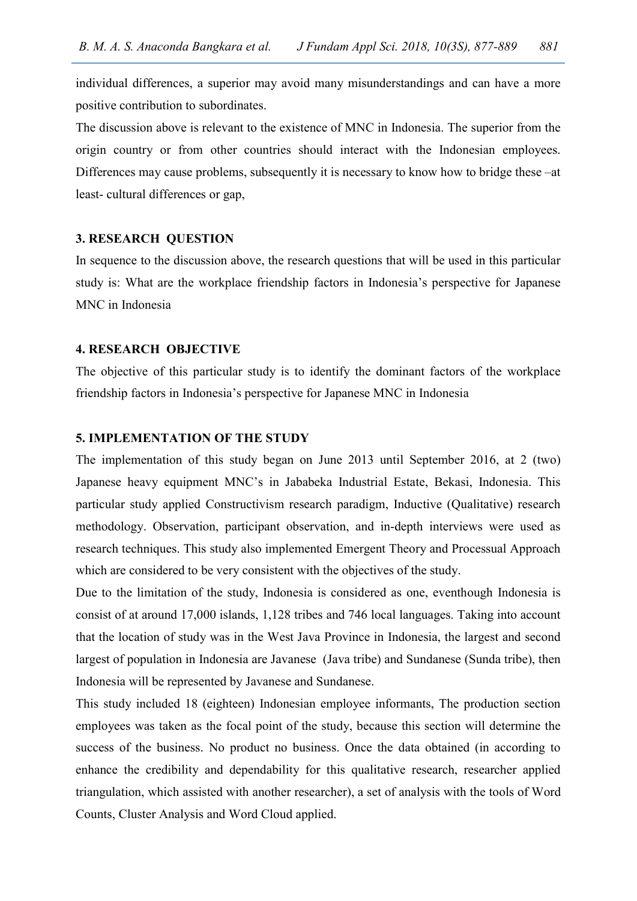individual differences, a superior may avoid many misunderstandings and can have a more positive contribution to subordinates.

The discussion above is relevant to the existence of MNC in Indonesia. The superior from the origin country or from other countries should interact with the Indonesian employees. Differences may cause problems, subsequently it is necessary to know how to bridge these –at least- cultural differences or gap,

#### 3. RESEARCH QUESTION

In sequence to the discussion above, the research questions that will be used in this particular study is: What are the workplace friendship factors in Indonesia's perspective for Japanese MNC in Indonesia

## 4. RESEARCH OBJECTIVE

The objective of this particular study is to identify the dominant factors of the workplace friendship factors in Indonesia's perspective for Japanese MNC in Indonesia

#### 5. IMPLEMENTATION OF THE STUDY

The implementation of this study began on June 2013 until September 2016, at 2 (two) Japanese heavy equipment MNC's in Jababeka Industrial Estate, Bekasi, Indonesia. This particular study applied Constructivism research paradigm, Inductive (Qualitative) research methodology. Observation, participant observation, and in-depth interviews were used as research techniques. This study also implemented Emergent Theory and Processual Approach which are considered to be very consistent with the objectives of the study.

Due to the limitation of the study, Indonesia is considered as one, eventhough Indonesia is consist of at around 17,000 islands, 1,128 tribes and 746 local languages. Taking into account that the location of study was in the West Java Province in Indonesia, the largest and second largest of population in Indonesia are Javanese (Java tribe) and Sundanese (Sunda tribe), then Indonesia will be represented by Javanese and Sundanese.

This study included 18 (eighteen) Indonesian employee informants, The production section employees was taken as the focal point of the study, because this section will determine the success of the business. No product no business. Once the data obtained (in according to enhance the credibility and dependability for this qualitative research, researcher applied triangulation, which assisted with another researcher), a set of analysis with the tools of Word Counts, Cluster Analysis and Word Cloud applied.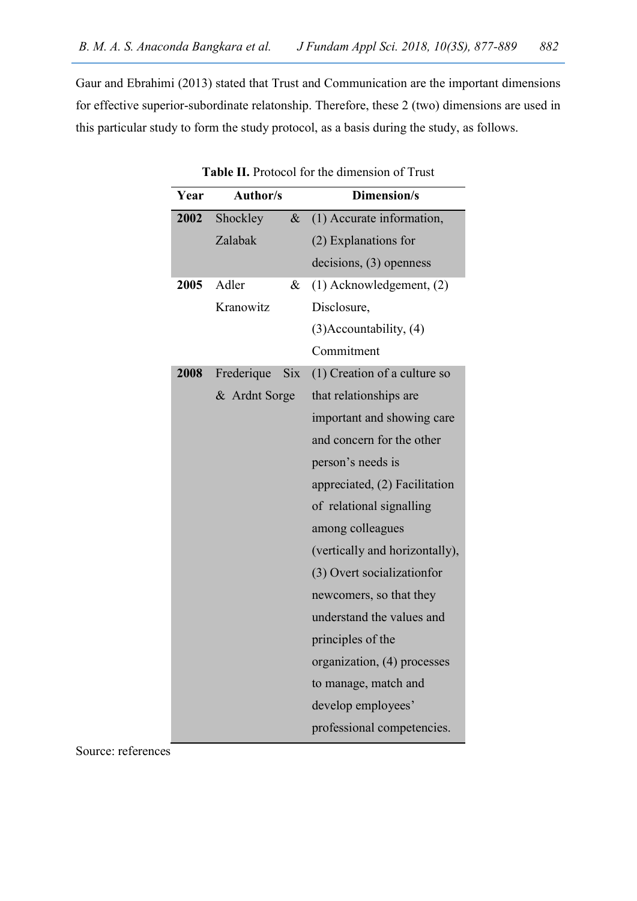Gaur and Ebrahimi (2013) stated that Trust and Communication are the important dimensions for effective superior-subordinate relatonship. Therefore, these 2 (two) dimensions are used in this particular study to form the study protocol, as a basis during the study, as follows.

| Year | <b>Author/s</b> |            | <b>Dimension/s</b>             |
|------|-----------------|------------|--------------------------------|
| 2002 | Shockley        | $\&$       | (1) Accurate information,      |
|      | Zalabak         |            | (2) Explanations for           |
|      |                 |            | decisions, (3) openness        |
| 2005 | Adler           | &          | $(1)$ Acknowledgement, $(2)$   |
|      | Kranowitz       |            | Disclosure,                    |
|      |                 |            | $(3)$ Accountability, $(4)$    |
|      |                 |            | Commitment                     |
| 2008 | Frederique      | <b>Six</b> | (1) Creation of a culture so   |
|      | & Ardnt Sorge   |            | that relationships are         |
|      |                 |            | important and showing care     |
|      |                 |            | and concern for the other      |
|      |                 |            | person's needs is              |
|      |                 |            | appreciated, (2) Facilitation  |
|      |                 |            | of relational signalling       |
|      |                 |            | among colleagues               |
|      |                 |            | (vertically and horizontally), |
|      |                 |            | (3) Overt socialization for    |
|      |                 |            | newcomers, so that they        |
|      |                 |            | understand the values and      |
|      |                 |            | principles of the              |
|      |                 |            | organization, (4) processes    |
|      |                 |            | to manage, match and           |
|      |                 |            | develop employees'             |
|      |                 |            | professional competencies.     |

Table II. Protocol for the dimension of Trust

Source: references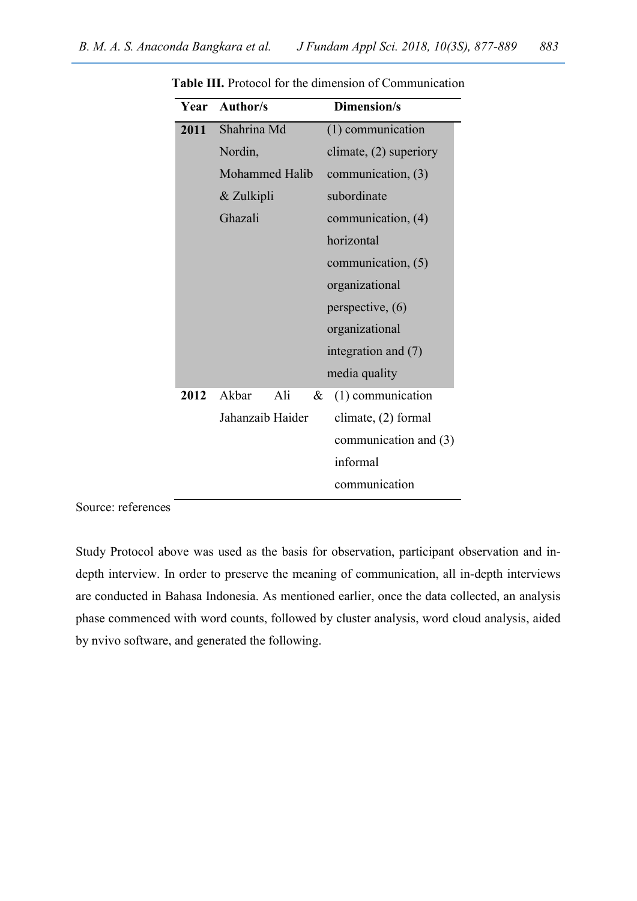|      | Year Author/s         | Dimension/s            |  |
|------|-----------------------|------------------------|--|
| 2011 | Shahrina Md           | (1) communication      |  |
|      | Nordin,               | climate, (2) superiory |  |
|      | <b>Mohammed Halib</b> | communication, $(3)$   |  |
|      | & Zulkipli            | subordinate            |  |
|      | Ghazali               | communication, $(4)$   |  |
|      |                       | horizontal             |  |
|      |                       | communication, (5)     |  |
|      |                       | organizational         |  |
|      |                       | perspective, $(6)$     |  |
|      |                       | organizational         |  |
|      |                       | integration and (7)    |  |
|      |                       | media quality          |  |
| 2012 | Akbar<br>Ali<br>&     | (1) communication      |  |
|      | Jahanzaib Haider      | climate, (2) formal    |  |
|      |                       | communication and (3)  |  |
|      |                       | informal               |  |
|      |                       | communication          |  |

Table III. Protocol for the dimension of Communication

Source: references

Study Protocol above was used as the basis for observation, participant observation and indepth interview. In order to preserve the meaning of communication, all in-depth interviews are conducted in Bahasa Indonesia. As mentioned earlier, once the data collected, an analysis phase commenced with word counts, followed by cluster analysis, word cloud analysis, aided by nvivo software, and generated the following.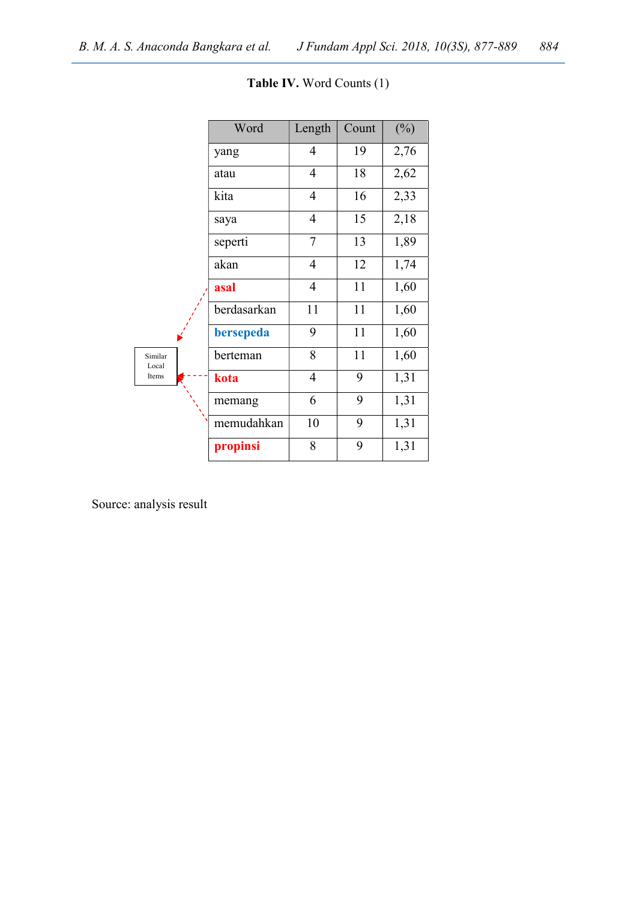|                  | Word        | Length         | Count | $(\%)$ |
|------------------|-------------|----------------|-------|--------|
|                  | yang        | 4              | 19    | 2,76   |
|                  | atau        | $\overline{4}$ | 18    | 2,62   |
|                  | kita        | 4              | 16    | 2,33   |
|                  | saya        | 4              | 15    | 2,18   |
|                  | seperti     | 7              | 13    | 1,89   |
|                  | akan        | $\overline{4}$ | 12    | 1,74   |
|                  | asal        | 4              | 11    | 1,60   |
|                  | berdasarkan | 11             | 11    | 1,60   |
|                  | bersepeda   | 9              | 11    | 1,60   |
| Similar<br>Local | berteman    | 8              | 11    | 1,60   |
| Items            | kota        | 4              | 9     | 1,31   |
|                  | memang      | 6              | 9     | 1,31   |
|                  | memudahkan  | 10             | 9     | 1,31   |
|                  | propinsi    | 8              | 9     | 1,31   |

Table IV. Word Counts (1)

Source: analysis result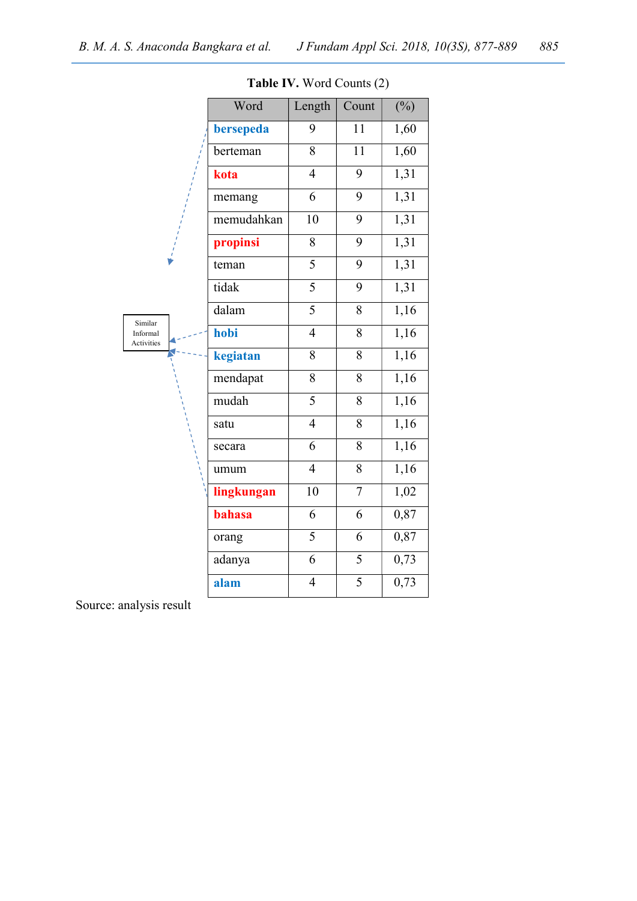|                        | Word       | Length         | Count          | $(\%)$            |
|------------------------|------------|----------------|----------------|-------------------|
|                        | bersepeda  | 9              | 11             | 1,60              |
|                        | berteman   | 8              | 11             | 1,60              |
|                        | kota       | $\overline{4}$ | 9              | 1,31              |
|                        | memang     | 6              | 9              | 1,31              |
|                        | memudahkan | 10             | 9              | 1,31              |
|                        | propinsi   | 8              | 9              | 1,31              |
|                        | teman      | 5              | 9              | 1,31              |
|                        | tidak      | $\overline{5}$ | 9              | 1,31              |
| Similar                | dalam      | $\overline{5}$ | 8              | 1,16              |
| Informal<br>Activities | hobi       | $\overline{4}$ | 8              | 1,16              |
|                        | kegiatan   | 8              | 8              | 1,16              |
|                        | mendapat   | $\overline{8}$ | $\overline{8}$ | 1,16              |
|                        | mudah      | $\overline{5}$ | 8              | $\overline{1,16}$ |
|                        | satu       | $\overline{4}$ | 8              | 1,16              |
|                        | secara     | 6              | 8              | 1,16              |
|                        | umum       | $\overline{4}$ | 8              | 1,16              |
|                        | lingkungan | 10             | $\overline{7}$ | 1,02              |
|                        | bahasa     | 6              | 6              | 0,87              |
|                        | orang      | $\overline{5}$ | 6              | 0,87              |
|                        | adanya     | 6              | 5              | 0,73              |
|                        | alam       | 4              | 5              | 0,73              |

Table IV. Word Counts (2)

Source: analysis result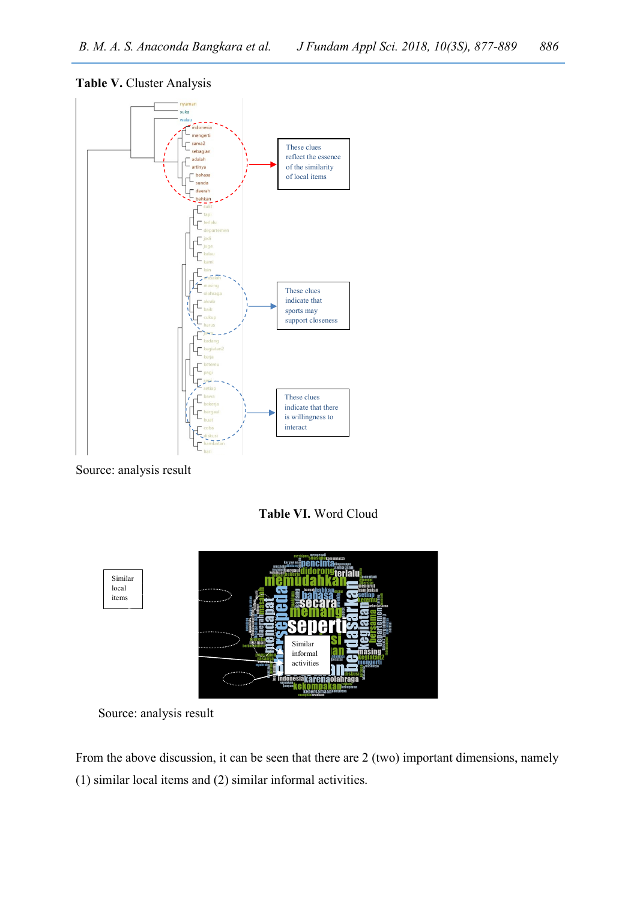## Table V. Cluster Analysis



Source: analysis result

Table VI. Word Cloud



Source: analysis result

From the above discussion, it can be seen that there are 2 (two) important dimensions, namely (1) similar local items and (2) similar informal activities.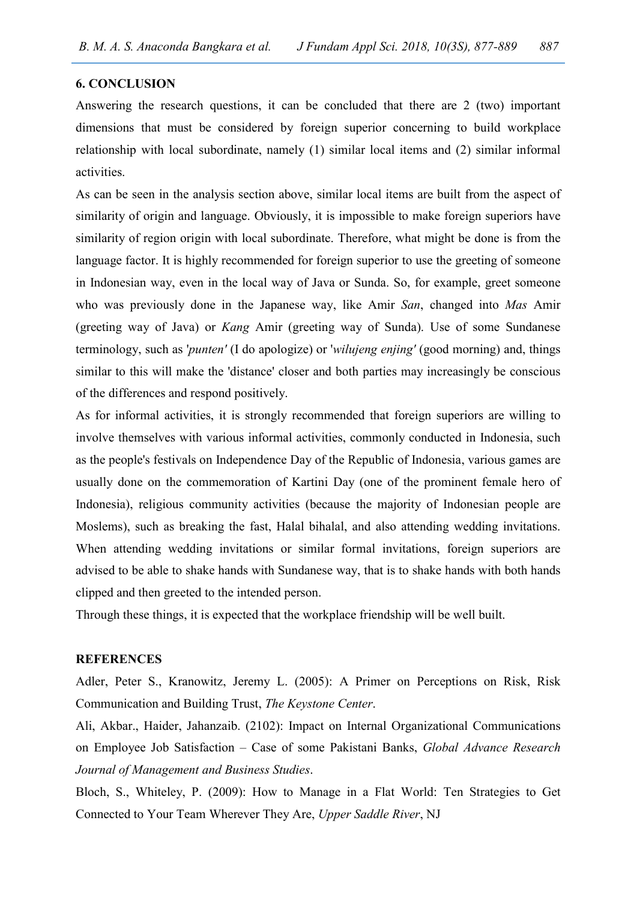#### 6. CONCLUSION

Answering the research questions, it can be concluded that there are 2 (two) important dimensions that must be considered by foreign superior concerning to build workplace relationship with local subordinate, namely (1) similar local items and (2) similar informal activities.

As can be seen in the analysis section above, similar local items are built from the aspect of similarity of origin and language. Obviously, it is impossible to make foreign superiors have similarity of region origin with local subordinate. Therefore, what might be done is from the language factor. It is highly recommended for foreign superior to use the greeting of someone in Indonesian way, even in the local way of Java or Sunda. So, for example, greet someone who was previously done in the Japanese way, like Amir San, changed into Mas Amir (greeting way of Java) or Kang Amir (greeting way of Sunda). Use of some Sundanese terminology, such as 'punten' (I do apologize) or 'wilujeng enjing' (good morning) and, things similar to this will make the 'distance' closer and both parties may increasingly be conscious of the differences and respond positively.

As for informal activities, it is strongly recommended that foreign superiors are willing to involve themselves with various informal activities, commonly conducted in Indonesia, such as the people's festivals on Independence Day of the Republic of Indonesia, various games are usually done on the commemoration of Kartini Day (one of the prominent female hero of Indonesia), religious community activities (because the majority of Indonesian people are Moslems), such as breaking the fast, Halal bihalal, and also attending wedding invitations. When attending wedding invitations or similar formal invitations, foreign superiors are advised to be able to shake hands with Sundanese way, that is to shake hands with both hands clipped and then greeted to the intended person.

Through these things, it is expected that the workplace friendship will be well built.

## **REFERENCES**

Adler, Peter S., Kranowitz, Jeremy L. (2005): A Primer on Perceptions on Risk, Risk Communication and Building Trust, The Keystone Center.

Ali, Akbar., Haider, Jahanzaib. (2102): Impact on Internal Organizational Communications on Employee Job Satisfaction – Case of some Pakistani Banks, Global Advance Research Journal of Management and Business Studies.

Bloch, S., Whiteley, P. (2009): How to Manage in a Flat World: Ten Strategies to Get Connected to Your Team Wherever They Are, Upper Saddle River, NJ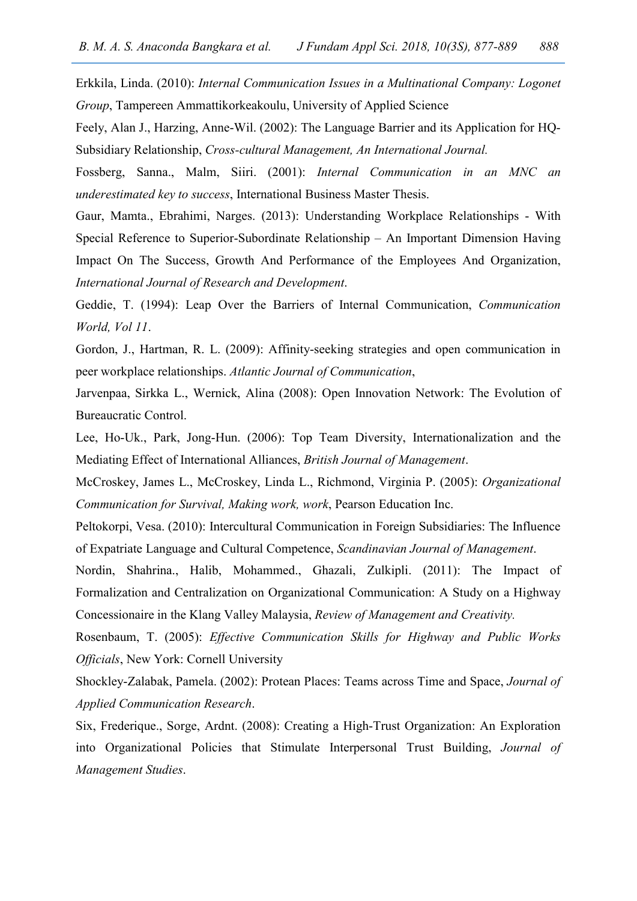Erkkila, Linda. (2010): Internal Communication Issues in a Multinational Company: Logonet Group, Tampereen Ammattikorkeakoulu, University of Applied Science

Feely, Alan J., Harzing, Anne-Wil. (2002): The Language Barrier and its Application for HQ-Subsidiary Relationship, Cross-cultural Management, An International Journal.

Fossberg, Sanna., Malm, Siiri. (2001): Internal Communication in an MNC an underestimated key to success, International Business Master Thesis.

Gaur, Mamta., Ebrahimi, Narges. (2013): Understanding Workplace Relationships - With Special Reference to Superior-Subordinate Relationship – An Important Dimension Having Impact On The Success, Growth And Performance of the Employees And Organization, International Journal of Research and Development.

Geddie, T. (1994): Leap Over the Barriers of Internal Communication, Communication World, Vol 11.

Gordon, J., Hartman, R. L. (2009): Affinity-seeking strategies and open communication in peer workplace relationships. Atlantic Journal of Communication,

Jarvenpaa, Sirkka L., Wernick, Alina (2008): Open Innovation Network: The Evolution of Bureaucratic Control.

Lee, Ho-Uk., Park, Jong-Hun. (2006): Top Team Diversity, Internationalization and the Mediating Effect of International Alliances, British Journal of Management.

McCroskey, James L., McCroskey, Linda L., Richmond, Virginia P. (2005): Organizational Communication for Survival, Making work, work, Pearson Education Inc.

Peltokorpi, Vesa. (2010): Intercultural Communication in Foreign Subsidiaries: The Influence of Expatriate Language and Cultural Competence, Scandinavian Journal of Management.

Nordin, Shahrina., Halib, Mohammed., Ghazali, Zulkipli. (2011): The Impact of Formalization and Centralization on Organizational Communication: A Study on a Highway Concessionaire in the Klang Valley Malaysia, Review of Management and Creativity.

Rosenbaum, T. (2005): Effective Communication Skills for Highway and Public Works Officials, New York: Cornell University

Shockley-Zalabak, Pamela. (2002): Protean Places: Teams across Time and Space, Journal of Applied Communication Research.

Six, Frederique., Sorge, Ardnt. (2008): Creating a High-Trust Organization: An Exploration into Organizational Policies that Stimulate Interpersonal Trust Building, Journal of Management Studies.